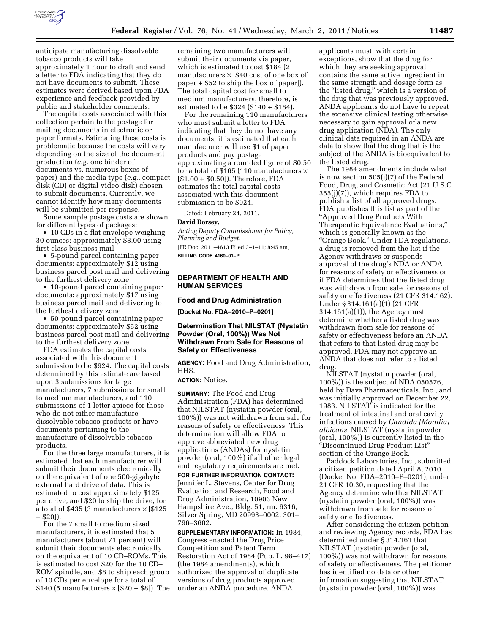

anticipate manufacturing dissolvable tobacco products will take approximately 1 hour to draft and send a letter to FDA indicating that they do not have documents to submit. These estimates were derived based upon FDA experience and feedback provided by public and stakeholder comments.

The capital costs associated with this collection pertain to the postage for mailing documents in electronic or paper formats. Estimating these costs is problematic because the costs will vary depending on the size of the document production (*e.g.* one binder of documents vs. numerous boxes of paper) and the media type (*e.g.,* compact disk (CD) or digital video disk) chosen to submit documents. Currently, we cannot identify how many documents will be submitted per response.

Some sample postage costs are shown for different types of packages:

• 10 CDs in a flat envelope weighing 30 ounces: approximately \$8.00 using first class business mail

• 5-pound parcel containing paper documents: approximately \$12 using business parcel post mail and delivering to the furthest delivery zone

• 10-pound parcel containing paper documents: approximately \$17 using business parcel mail and delivering to the furthest delivery zone

• 50-pound parcel containing paper documents: approximately \$52 using business parcel post mail and delivering to the furthest delivery zone.

FDA estimates the capital costs associated with this document submission to be \$924. The capital costs determined by this estimate are based upon 3 submissions for large manufacturers, 7 submissions for small to medium manufacturers, and 110 submissions of 1 letter apiece for those who do not either manufacture dissolvable tobacco products or have documents pertaining to the manufacture of dissolvable tobacco products.

For the three large manufacturers, it is estimated that each manufacturer will submit their documents electronically on the equivalent of one 500-gigabyte external hard drive of data. This is estimated to cost approximately \$125 per drive, and \$20 to ship the drive, for a total of \$435 (3 manufacturers  $\times$  [\$125 + \$20]).

For the 7 small to medium sized manufacturers, it is estimated that 5 manufacturers (about 71 percent) will submit their documents electronically on the equivalent of 10 CD–ROMs. This is estimated to cost \$20 for the 10 CD– ROM spindle, and \$8 to ship each group of 10 CDs per envelope for a total of \$140 (5 manufacturers  $\times$  [\$20 + \$8]). The

remaining two manufacturers will submit their documents via paper, which is estimated to cost \$184 (2 manufacturers  $\times$  [\$40 cost of one box of paper + \$52 to ship the box of paper]). The total capital cost for small to medium manufacturers, therefore, is estimated to be \$324 (\$140 + \$184).

For the remaining 110 manufacturers who must submit a letter to FDA indicating that they do not have any documents, it is estimated that each manufacturer will use \$1 of paper products and pay postage approximating a rounded figure of \$0.50 for a total of \$165 (110 manufacturers  $\times$ [\$1.00 + \$0.50]). Therefore, FDA estimates the total capital costs associated with this document submission to be \$924.

Dated: February 24, 2011.

#### **David Dorsey,**

*Acting Deputy Commissioner for Policy, Planning and Budget.*  [FR Doc. 2011–4613 Filed 3–1–11; 8:45 am] **BILLING CODE 4160–01–P** 

## **DEPARTMENT OF HEALTH AND HUMAN SERVICES**

#### **Food and Drug Administration**

**[Docket No. FDA–2010–P–0201]** 

#### **Determination That NILSTAT (Nystatin Powder (Oral, 100%)) Was Not Withdrawn From Sale for Reasons of Safety or Effectiveness**

**AGENCY:** Food and Drug Administration, HHS.

## **ACTION:** Notice.

**SUMMARY:** The Food and Drug Administration (FDA) has determined that NILSTAT (nystatin powder (oral, 100%)) was not withdrawn from sale for reasons of safety or effectiveness. This determination will allow FDA to approve abbreviated new drug applications (ANDAs) for nystatin powder (oral, 100%) if all other legal and regulatory requirements are met.

**FOR FURTHER INFORMATION CONTACT:**  Jennifer L. Stevens, Center for Drug Evaluation and Research, Food and Drug Administration, 10903 New Hampshire Ave., Bldg. 51, rm. 6316, Silver Spring, MD 20993–0002, 301– 796–3602.

**SUPPLEMENTARY INFORMATION:** In 1984, Congress enacted the Drug Price Competition and Patent Term Restoration Act of 1984 (Pub. L. 98–417) (the 1984 amendments), which authorized the approval of duplicate versions of drug products approved under an ANDA procedure. ANDA

applicants must, with certain exceptions, show that the drug for which they are seeking approval contains the same active ingredient in the same strength and dosage form as the "listed drug," which is a version of the drug that was previously approved. ANDA applicants do not have to repeat the extensive clinical testing otherwise necessary to gain approval of a new drug application (NDA). The only clinical data required in an ANDA are data to show that the drug that is the subject of the ANDA is bioequivalent to the listed drug.

The 1984 amendments include what is now section 505(j)(7) of the Federal Food, Drug, and Cosmetic Act (21 U.S.C. 355(j)(7)), which requires FDA to publish a list of all approved drugs. FDA publishes this list as part of the ''Approved Drug Products With Therapeutic Equivalence Evaluations,'' which is generally known as the ''Orange Book.'' Under FDA regulations, a drug is removed from the list if the Agency withdraws or suspends approval of the drug's NDA or ANDA for reasons of safety or effectiveness or if FDA determines that the listed drug was withdrawn from sale for reasons of safety or effectiveness (21 CFR 314.162). Under § 314.161(a)(1) (21 CFR 314.161(a)(1)), the Agency must determine whether a listed drug was withdrawn from sale for reasons of safety or effectiveness before an ANDA that refers to that listed drug may be approved. FDA may not approve an ANDA that does not refer to a listed drug.

NILSTAT (nystatin powder (oral, 100%)) is the subject of NDA 050576, held by Dava Pharmaceuticals, Inc., and was initially approved on December 22, 1983. NILSTAT is indicated for the treatment of intestinal and oral cavity infections caused by *Candida (Monilia) albicans.* NILSTAT (nystatin powder (oral, 100%)) is currently listed in the ''Discontinued Drug Product List'' section of the Orange Book.

Paddock Laboratories, Inc., submitted a citizen petition dated April 8, 2010 (Docket No. FDA–2010–P–0201), under 21 CFR 10.30, requesting that the Agency determine whether NILSTAT (nystatin powder (oral, 100%)) was withdrawn from sale for reasons of safety or effectiveness.

After considering the citizen petition and reviewing Agency records, FDA has determined under § 314.161 that NILSTAT (nystatin powder (oral, 100%)) was not withdrawn for reasons of safety or effectiveness. The petitioner has identified no data or other information suggesting that NILSTAT (nystatin powder (oral, 100%)) was